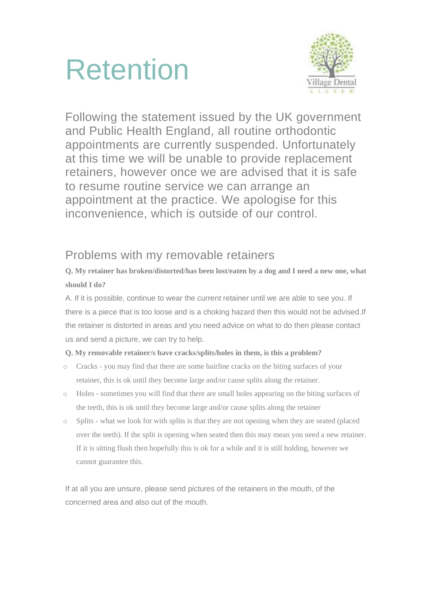



Following the statement issued by the UK government and Public Health England, all routine orthodontic appointments are currently suspended. Unfortunately at this time we will be unable to provide replacement retainers, however once we are advised that it is safe to resume routine service we can arrange an appointment at the practice. We apologise for this inconvenience, which is outside of our control.

# Problems with my removable retainers

### **Q. My retainer has broken/distorted/has been lost/eaten by a dog and I need a new one, what should I do?**

A. If it is possible, continue to wear the current retainer until we are able to see you. If there is a piece that is too loose and is a choking hazard then this would not be advised.If the retainer is distorted in areas and you need advice on what to do then please contact us and send a picture, we can try to help.

### **Q. My removable retainer/s have cracks/splits/holes in them, is this a problem?**

- o Cracks you may find that there are some hairline cracks on the biting surfaces of your retainer, this is ok until they become large and/or cause splits along the retainer.
- o Holes sometimes you will find that there are small holes appearing on the biting surfaces of the teeth, this is ok until they become large and/or cause splits along the retainer
- o Splits what we look for with splits is that they are not opening when they are seated (placed over the teeth). If the split is opening when seated then this may mean you need a new retainer. If it is sitting flush then hopefully this is ok for a while and it is still holding, however we cannot guarantee this.

If at all you are unsure, please send pictures of the retainers in the mouth, of the concerned area and also out of the mouth.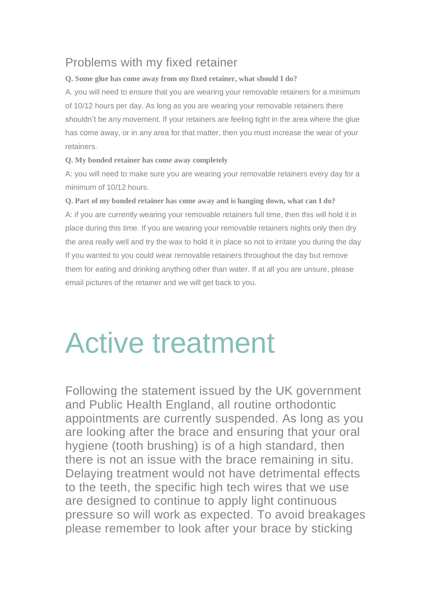# Problems with my fixed retainer

### **Q. Some glue has come away from my fixed retainer, what should I do?**

A. you will need to ensure that you are wearing your removable retainers for a minimum of 10/12 hours per day. As long as you are wearing your removable retainers there shouldn't be any movement. If your retainers are feeling tight in the area where the glue has come away, or in any area for that matter, then you must increase the wear of your retainers.

### **Q. My bonded retainer has come away completely**

A: you will need to make sure you are wearing your removable retainers every day for a minimum of 10/12 hours.

**Q. Part of my bonded retainer has come away and is hanging down, what can I do?** A: if you are currently wearing your removable retainers full time, then this will hold it in place during this time. If you are wearing your removable retainers nights only then dry the area really well and try the wax to hold it in place so not to irritate you during the day If you wanted to you could wear removable retainers throughout the day but remove them for eating and drinking anything other than water. If at all you are unsure, please email pictures of the retainer and we will get back to you.

# Active treatment

Following the statement issued by the UK government and Public Health England, all routine orthodontic appointments are currently suspended. As long as you are looking after the brace and ensuring that your oral hygiene (tooth brushing) is of a high standard, then there is not an issue with the brace remaining in situ. Delaying treatment would not have detrimental effects to the teeth, the specific high tech wires that we use are designed to continue to apply light continuous pressure so will work as expected. To avoid breakages please remember to look after your brace by sticking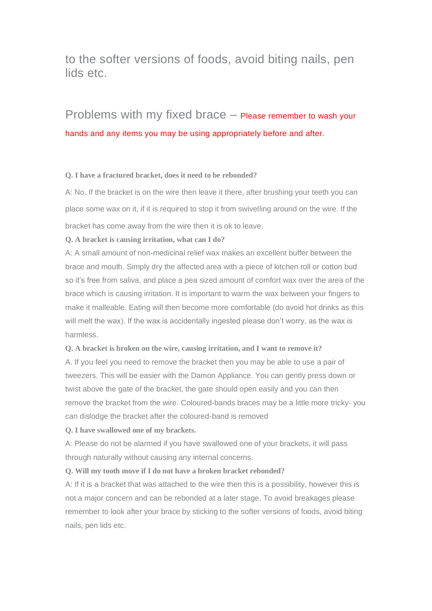## to the softer versions of foods, avoid biting nails, pen lids etc.

# Problems with my fixed brace – Please remember to wash your hands and any items you may be using appropriately before and after.

#### **Q. I have a fractured bracket, does it need to be rebonded?**

A: No. If the bracket is on the wire then leave it there, after brushing your teeth you can place some wax on it, if it is required to stop it from swivelling around on the wire. If the bracket has come away from the wire then it is ok to leave.

#### **Q. A bracket is causing irritation, what can I do?**

A: A small amount of non-medicinal relief wax makes an excellent buffer between the brace and mouth. Simply dry the affected area with a piece of kitchen roll or cotton bud so it's free from saliva, and place a pea sized amount of comfort wax over the area of the brace which is causing irritation. It is important to warm the wax between your fingers to make it malleable. Eating will then become more comfortable (do avoid hot drinks as this will melt the wax). If the wax is accidentally ingested please don't worry, as the wax is harmless.

#### **Q. A bracket is broken on the wire, causing irritation, and I want to remove it?**

A. If you feel you need to remove the bracket then you may be able to use a pair of tweezers. This will be easier with the Damon Appliance. You can gently press down or twist above the gate of the bracket, the gate should open easily and you can then remove the bracket from the wire. Coloured-bands braces may be a little more tricky- you can dislodge the bracket after the coloured-band is removed

#### **Q. I have swallowed one of my brackets.**

A: Please do not be alarmed if you have swallowed one of your brackets, it will pass through naturally without causing any internal concerns.

#### **Q. Will my tooth move if I do not have a broken bracket rebonded?**

A: If it is a bracket that was attached to the wire then this is a possibility, however this is not a major concern and can be rebonded at a later stage. To avoid breakages please remember to look after your brace by sticking to the softer versions of foods, avoid biting nails, pen lids etc.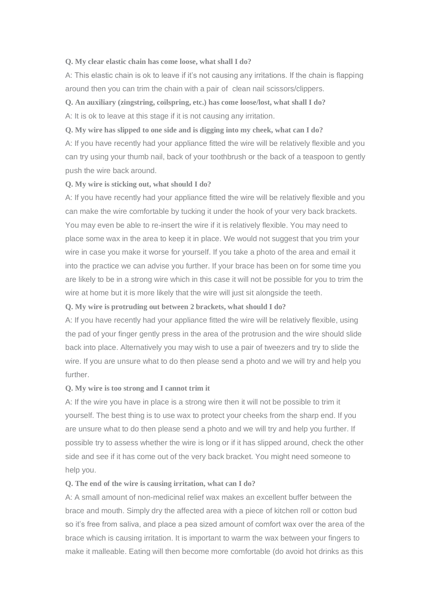#### **Q. My clear elastic chain has come loose, what shall I do?**

A: This elastic chain is ok to leave if it's not causing any irritations. If the chain is flapping around then you can trim the chain with a pair of clean nail scissors/clippers.

#### **Q. An auxiliary (zingstring, coilspring, etc.) has come loose/lost, what shall I do?**

A: It is ok to leave at this stage if it is not causing any irritation.

**Q. My wire has slipped to one side and is digging into my cheek, what can I do?**

A: If you have recently had your appliance fitted the wire will be relatively flexible and you can try using your thumb nail, back of your toothbrush or the back of a teaspoon to gently push the wire back around.

#### **Q. My wire is sticking out, what should I do?**

A: If you have recently had your appliance fitted the wire will be relatively flexible and you can make the wire comfortable by tucking it under the hook of your very back brackets. You may even be able to re-insert the wire if it is relatively flexible. You may need to place some wax in the area to keep it in place. We would not suggest that you trim your wire in case you make it worse for yourself. If you take a photo of the area and email it into the practice we can advise you further. If your brace has been on for some time you are likely to be in a strong wire which in this case it will not be possible for you to trim the wire at home but it is more likely that the wire will just sit alongside the teeth.

#### **Q. My wire is protruding out between 2 brackets, what should I do?**

A: If you have recently had your appliance fitted the wire will be relatively flexible, using the pad of your finger gently press in the area of the protrusion and the wire should slide back into place. Alternatively you may wish to use a pair of tweezers and try to slide the wire. If you are unsure what to do then please send a photo and we will try and help you further.

#### **Q. My wire is too strong and I cannot trim it**

A: If the wire you have in place is a strong wire then it will not be possible to trim it yourself. The best thing is to use wax to protect your cheeks from the sharp end. If you are unsure what to do then please send a photo and we will try and help you further. If possible try to assess whether the wire is long or if it has slipped around, check the other side and see if it has come out of the very back bracket. You might need someone to help you.

#### **Q. The end of the wire is causing irritation, what can I do?**

A: A small amount of non-medicinal relief wax makes an excellent buffer between the brace and mouth. Simply dry the affected area with a piece of kitchen roll or cotton bud so it's free from saliva, and place a pea sized amount of comfort wax over the area of the brace which is causing irritation. It is important to warm the wax between your fingers to make it malleable. Eating will then become more comfortable (do avoid hot drinks as this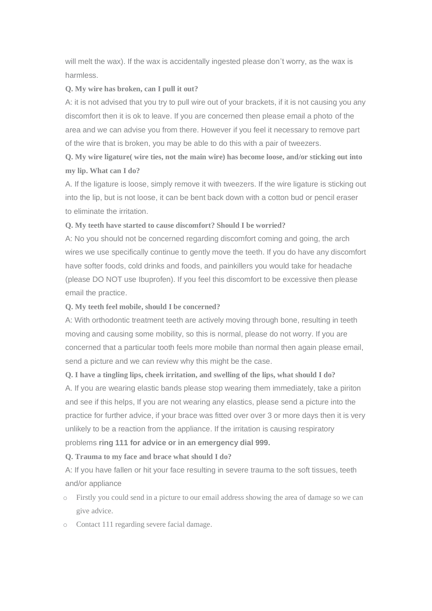will melt the wax). If the wax is accidentally ingested please don't worry, as the wax is harmless.

#### **Q. My wire has broken, can I pull it out?**

A: it is not advised that you try to pull wire out of your brackets, if it is not causing you any discomfort then it is ok to leave. If you are concerned then please email a photo of the area and we can advise you from there. However if you feel it necessary to remove part of the wire that is broken, you may be able to do this with a pair of tweezers.

**Q. My wire ligature( wire ties, not the main wire) has become loose, and/or sticking out into my lip. What can I do?**

A. If the ligature is loose, simply remove it with tweezers. If the wire ligature is sticking out into the lip, but is not loose, it can be bent back down with a cotton bud or pencil eraser to eliminate the irritation.

#### **Q. My teeth have started to cause discomfort? Should I be worried?**

A: No you should not be concerned regarding discomfort coming and going, the arch wires we use specifically continue to gently move the teeth. If you do have any discomfort have softer foods, cold drinks and foods, and painkillers you would take for headache (please DO NOT use Ibuprofen). If you feel this discomfort to be excessive then please email the practice.

#### **Q. My teeth feel mobile, should I be concerned?**

A: With orthodontic treatment teeth are actively moving through bone, resulting in teeth moving and causing some mobility, so this is normal, please do not worry. If you are concerned that a particular tooth feels more mobile than normal then again please email, send a picture and we can review why this might be the case.

**Q. I have a tingling lips, cheek irritation, and swelling of the lips, what should I do?**

A. If you are wearing elastic bands please stop wearing them immediately, take a piriton and see if this helps, If you are not wearing any elastics, please send a picture into the practice for further advice, if your brace was fitted over over 3 or more days then it is very unlikely to be a reaction from the appliance. If the irritation is causing respiratory problems **ring 111 for advice or in an emergency dial 999.**

#### **Q. Trauma to my face and brace what should I do?**

A: If you have fallen or hit your face resulting in severe trauma to the soft tissues, teeth and/or appliance

- o Firstly you could send in a picture to our email address showing the area of damage so we can give advice.
- o Contact 111 regarding severe facial damage.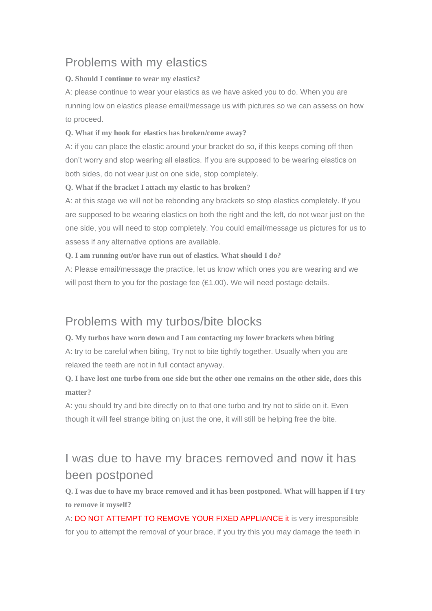# Problems with my elastics

### **Q. Should I continue to wear my elastics?**

A: please continue to wear your elastics as we have asked you to do. When you are running low on elastics please email/message us with pictures so we can assess on how to proceed.

### **Q. What if my hook for elastics has broken/come away?**

A: if you can place the elastic around your bracket do so, if this keeps coming off then don't worry and stop wearing all elastics. If you are supposed to be wearing elastics on both sides, do not wear just on one side, stop completely.

### **Q. What if the bracket I attach my elastic to has broken?**

A: at this stage we will not be rebonding any brackets so stop elastics completely. If you are supposed to be wearing elastics on both the right and the left, do not wear just on the one side, you will need to stop completely. You could email/message us pictures for us to assess if any alternative options are available.

**Q. I am running out/or have run out of elastics. What should I do?**

A: Please email/message the practice, let us know which ones you are wearing and we will post them to you for the postage fee (£1.00). We will need postage details.

# Problems with my turbos/bite blocks

**Q. My turbos have worn down and I am contacting my lower brackets when biting** A: try to be careful when biting, Try not to bite tightly together. Usually when you are relaxed the teeth are not in full contact anyway.

Q. I have lost one turbo from one side but the other one remains on the other side, does this **matter?**

A: you should try and bite directly on to that one turbo and try not to slide on it. Even though it will feel strange biting on just the one, it will still be helping free the bite.

# I was due to have my braces removed and now it has been postponed

Q. I was due to have my brace removed and it has been postponed. What will happen if I try **to remove it myself?**

A: DO NOT ATTEMPT TO REMOVE YOUR FIXED APPLIANCE it is very irresponsible for you to attempt the removal of your brace, if you try this you may damage the teeth in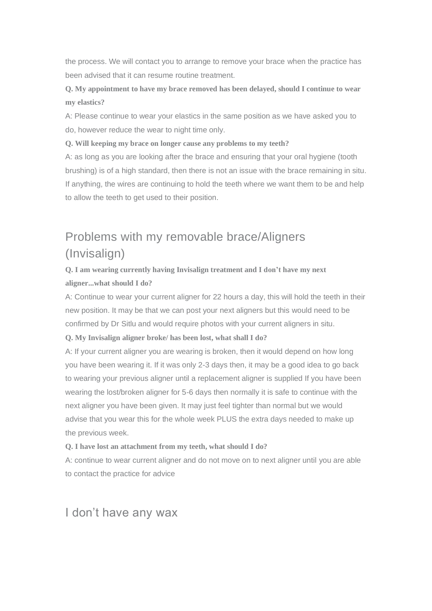the process. We will contact you to arrange to remove your brace when the practice has been advised that it can resume routine treatment.

**Q. My appointment to have my brace removed has been delayed, should I continue to wear my elastics?**

A: Please continue to wear your elastics in the same position as we have asked you to do, however reduce the wear to night time only.

**Q. Will keeping my brace on longer cause any problems to my teeth?**

A: as long as you are looking after the brace and ensuring that your oral hygiene (tooth brushing) is of a high standard, then there is not an issue with the brace remaining in situ. If anything, the wires are continuing to hold the teeth where we want them to be and help to allow the teeth to get used to their position.

# Problems with my removable brace/Aligners (Invisalign)

### **Q. I am wearing currently having Invisalign treatment and I don't have my next aligner...what should I do?**

A: Continue to wear your current aligner for 22 hours a day, this will hold the teeth in their new position. It may be that we can post your next aligners but this would need to be confirmed by Dr Sitlu and would require photos with your current aligners in situ.

#### **Q. My Invisalign aligner broke/ has been lost, what shall I do?**

A: If your current aligner you are wearing is broken, then it would depend on how long you have been wearing it. If it was only 2-3 days then, it may be a good idea to go back to wearing your previous aligner until a replacement aligner is supplied If you have been wearing the lost/broken aligner for 5-6 days then normally it is safe to continue with the next aligner you have been given. It may just feel tighter than normal but we would advise that you wear this for the whole week PLUS the extra days needed to make up the previous week.

**Q. I have lost an attachment from my teeth, what should I do?**

A: continue to wear current aligner and do not move on to next aligner until you are able to contact the practice for advice

### I don't have any wax